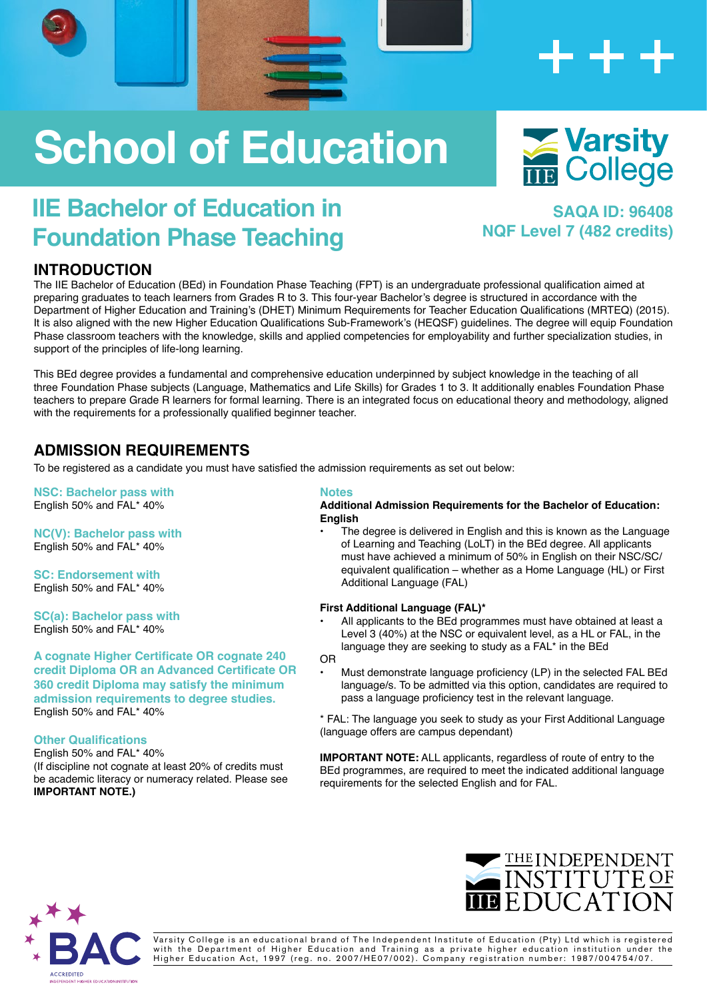# **School of Education**

# **IIE Bachelor of Education in Foundation Phase Teaching**

### **INTRODUCTION**

The IIE Bachelor of Education (BEd) in Foundation Phase Teaching (FPT) is an undergraduate professional qualification aimed at preparing graduates to teach learners from Grades R to 3. This four-year Bachelor's degree is structured in accordance with the Department of Higher Education and Training's (DHET) Minimum Requirements for Teacher Education Qualifications (MRTEQ) (2015). It is also aligned with the new Higher Education Qualifications Sub-Framework's (HEQSF) guidelines. The degree will equip Foundation Phase classroom teachers with the knowledge, skills and applied competencies for employability and further specialization studies, in support of the principles of life-long learning.

This BEd degree provides a fundamental and comprehensive education underpinned by subject knowledge in the teaching of all three Foundation Phase subjects (Language, Mathematics and Life Skills) for Grades 1 to 3. It additionally enables Foundation Phase teachers to prepare Grade R learners for formal learning. There is an integrated focus on educational theory and methodology, aligned with the requirements for a professionally qualified beginner teacher.

## **ADMISSION REQUIREMENTS**

To be registered as a candidate you must have satisfied the admission requirements as set out below:

**NSC: Bachelor pass with** English 50% and FAL\* 40%

**NC(V): Bachelor pass with** English 50% and FAL\* 40%

**SC: Endorsement with** English 50% and FAL\* 40%

**SC(a): Bachelor pass with**  English 50% and FAL\* 40%

**A cognate Higher Certificate OR cognate 240 credit Diploma OR an Advanced Certificate OR 360 credit Diploma may satisfy the minimum admission requirements to degree studies.** English 50% and FAL\* 40%

#### **Other Qualifications**

English 50% and FAL\* 40% (If discipline not cognate at least 20% of credits must be academic literacy or numeracy related. Please see **IMPORTANT NOTE.)**

#### **Notes**

#### **Additional Admission Requirements for the Bachelor of Education: English**

The degree is delivered in English and this is known as the Language of Learning and Teaching (LoLT) in the BEd degree. All applicants must have achieved a minimum of 50% in English on their NSC/SC/ equivalent qualification – whether as a Home Language (HL) or First Additional Language (FAL)

#### **First Additional Language (FAL)\***

- All applicants to the BEd programmes must have obtained at least a Level 3 (40%) at the NSC or equivalent level, as a HL or FAL, in the language they are seeking to study as a FAL\* in the BEd
- OR
- Must demonstrate language proficiency (LP) in the selected FAL BEd language/s. To be admitted via this option, candidates are required to pass a language proficiency test in the relevant language.

\* FAL: The language you seek to study as your First Additional Language (language offers are campus dependant)

**IMPORTANT NOTE:** ALL applicants, regardless of route of entry to the BEd programmes, are required to meet the indicated additional language requirements for the selected English and for FAL.





Varsity College is an educational brand of The Independent Institute of Education (Pty) Ltd which is registered with the Department of Higher Education and Training as a private higher education institution under the Higher Education Act, 1997 (reg. no. 2007/HE07/002). Company registration number: 1987/004754/07.



**NQF Level 7 (482 credits)**

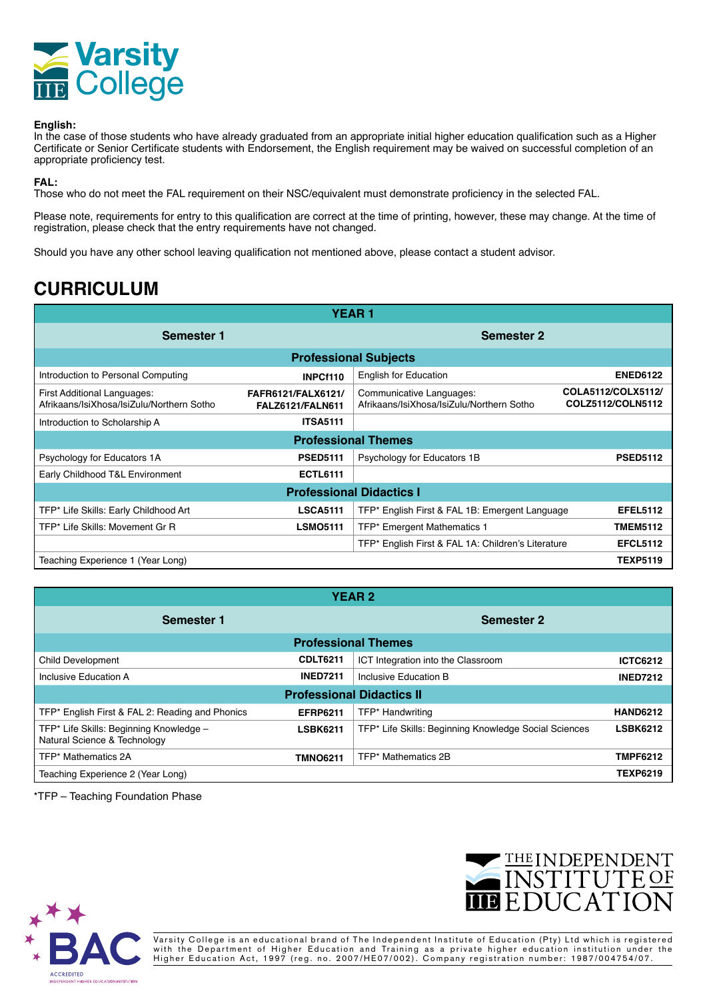

#### **English:**

In the case of those students who have already graduated from an appropriate initial higher education qualification such as a Higher Certificate or Senior Certificate students with Endorsement, the English requirement may be waived on successful completion of an appropriate proficiency test.

**FAL:**

Those who do not meet the FAL requirement on their NSC/equivalent must demonstrate proficiency in the selected FAL.

Please note, requirements for entry to this qualification are correct at the time of printing, however, these may change. At the time of registration, please check that the entry requirements have not changed.

Should you have any other school leaving qualification not mentioned above, please contact a student advisor.

# **CURRICULUM**

| <b>YEAR1</b>                                                             |                                               |                                                                       |                                         |  |  |  |
|--------------------------------------------------------------------------|-----------------------------------------------|-----------------------------------------------------------------------|-----------------------------------------|--|--|--|
| Semester 1                                                               |                                               | <b>Semester 2</b>                                                     |                                         |  |  |  |
| <b>Professional Subjects</b>                                             |                                               |                                                                       |                                         |  |  |  |
| Introduction to Personal Computing                                       | INPCf110                                      | <b>English for Education</b>                                          | <b>ENED6122</b>                         |  |  |  |
| First Additional Languages:<br>Afrikaans/IsiXhosa/IsiZulu/Northern Sotho | FAFR6121/FALX6121/<br><b>FALZ6121/FALN611</b> | Communicative Languages:<br>Afrikaans/IsiXhosa/IsiZulu/Northern Sotho | COLA5112/COLX5112/<br>COLZ5112/COLN5112 |  |  |  |
| Introduction to Scholarship A                                            | <b>ITSA5111</b>                               |                                                                       |                                         |  |  |  |
| <b>Professional Themes</b>                                               |                                               |                                                                       |                                         |  |  |  |
| Psychology for Educators 1A                                              | <b>PSED5111</b>                               | Psychology for Educators 1B                                           | <b>PSED5112</b>                         |  |  |  |
| Early Childhood T&L Environment                                          | <b>ECTL6111</b>                               |                                                                       |                                         |  |  |  |
| <b>Professional Didactics I</b>                                          |                                               |                                                                       |                                         |  |  |  |
| TFP* Life Skills: Early Childhood Art                                    | <b>LSCA5111</b>                               | TFP* English First & FAL 1B: Emergent Language                        | <b>EFEL5112</b>                         |  |  |  |
| TFP* Life Skills: Movement Gr R                                          | <b>LSMO5111</b>                               | TFP* Emergent Mathematics 1                                           | <b>TMEM5112</b>                         |  |  |  |
|                                                                          |                                               | TFP* English First & FAL 1A: Children's Literature                    | <b>EFCL5112</b>                         |  |  |  |
| Teaching Experience 1 (Year Long)                                        |                                               |                                                                       | <b>TEXP5119</b>                         |  |  |  |

| <b>YEAR2</b>                                                            |                   |                                                       |                 |  |  |  |
|-------------------------------------------------------------------------|-------------------|-------------------------------------------------------|-----------------|--|--|--|
| Semester 1                                                              | <b>Semester 2</b> |                                                       |                 |  |  |  |
| <b>Professional Themes</b>                                              |                   |                                                       |                 |  |  |  |
| Child Development                                                       | <b>CDLT6211</b>   | ICT Integration into the Classroom                    | <b>ICTC6212</b> |  |  |  |
| Inclusive Education A                                                   | <b>INED7211</b>   | Inclusive Education B                                 | <b>INED7212</b> |  |  |  |
| <b>Professional Didactics II</b>                                        |                   |                                                       |                 |  |  |  |
| TFP* English First & FAL 2: Reading and Phonics                         | <b>EFRP6211</b>   | TFP* Handwriting                                      | <b>HAND6212</b> |  |  |  |
| TFP* Life Skills: Beginning Knowledge -<br>Natural Science & Technology | <b>LSBK6211</b>   | TFP* Life Skills: Beginning Knowledge Social Sciences | <b>LSBK6212</b> |  |  |  |
| TFP* Mathematics 2A                                                     | <b>TMNO6211</b>   | TFP* Mathematics 2B                                   | <b>TMPF6212</b> |  |  |  |
| Teaching Experience 2 (Year Long)                                       |                   |                                                       | <b>TEXP6219</b> |  |  |  |

\*TFP – Teaching Foundation Phase





Varsity College is an educational brand of The Independent Institute of Education (Pty) Ltd which is registered with the Department of Higher Education and Training as a private higher education institution under the Higher Education Act, 1997 (reg. no. 2007/HE07/002). Company registration number: 1987/004754/07.